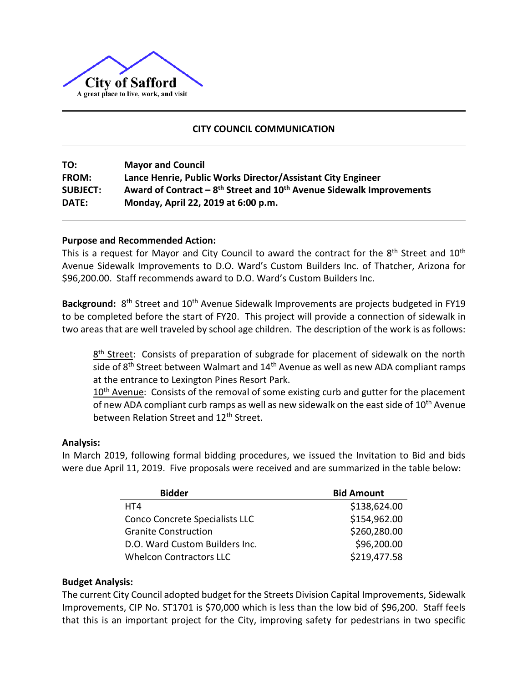

# **CITY COUNCIL COMMUNICATION**

| TO:             | <b>Mayor and Council</b>                                                                     |
|-----------------|----------------------------------------------------------------------------------------------|
| <b>FROM:</b>    | Lance Henrie, Public Works Director/Assistant City Engineer                                  |
| <b>SUBJECT:</b> | Award of Contract – 8 <sup>th</sup> Street and 10 <sup>th</sup> Avenue Sidewalk Improvements |
| DATE:           | Monday, April 22, 2019 at 6:00 p.m.                                                          |

### **Purpose and Recommended Action:**

This is a request for Mayor and City Council to award the contract for the  $8^{\text{th}}$  Street and  $10^{\text{th}}$ Avenue Sidewalk Improvements to D.O. Ward's Custom Builders Inc. of Thatcher, Arizona for \$96,200.00. Staff recommends award to D.O. Ward's Custom Builders Inc.

Background: 8<sup>th</sup> Street and 10<sup>th</sup> Avenue Sidewalk Improvements are projects budgeted in FY19 to be completed before the start of FY20. This project will provide a connection of sidewalk in two areas that are well traveled by school age children. The description of the work is as follows:

8<sup>th</sup> Street: Consists of preparation of subgrade for placement of sidewalk on the north side of 8<sup>th</sup> Street between Walmart and 14<sup>th</sup> Avenue as well as new ADA compliant ramps at the entrance to Lexington Pines Resort Park.

 $10<sup>th</sup>$  Avenue: Consists of the removal of some existing curb and gutter for the placement of new ADA compliant curb ramps as well as new sidewalk on the east side of  $10<sup>th</sup>$  Avenue between Relation Street and 12<sup>th</sup> Street.

#### **Analysis:**

In March 2019, following formal bidding procedures, we issued the Invitation to Bid and bids were due April 11, 2019. Five proposals were received and are summarized in the table below:

| <b>Bidder</b>                  | <b>Bid Amount</b> |
|--------------------------------|-------------------|
| HT4                            | \$138,624.00      |
| Conco Concrete Specialists LLC | \$154,962.00      |
| <b>Granite Construction</b>    | \$260,280.00      |
| D.O. Ward Custom Builders Inc. | \$96,200.00       |
| <b>Whelcon Contractors LLC</b> | \$219,477.58      |

### **Budget Analysis:**

The current City Council adopted budget for the Streets Division Capital Improvements, Sidewalk Improvements, CIP No. ST1701 is \$70,000 which is less than the low bid of \$96,200. Staff feels that this is an important project for the City, improving safety for pedestrians in two specific